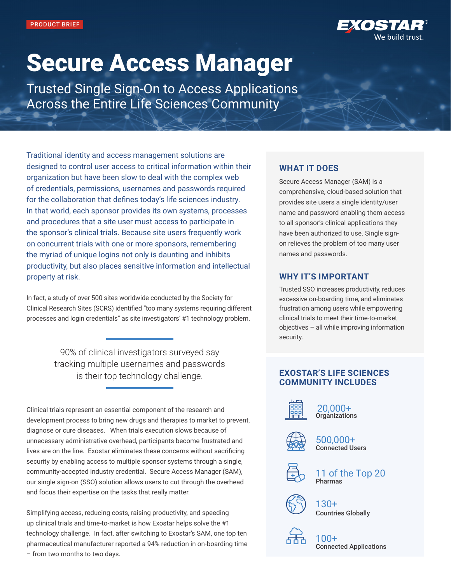

# Secure Access Manager

Trusted Single Sign-On to Access Applications Across the Entire Life Sciences Community

Traditional identity and access management solutions are designed to control user access to critical information within their organization but have been slow to deal with the complex web of credentials, permissions, usernames and passwords required for the collaboration that defines today's life sciences industry. In that world, each sponsor provides its own systems, processes and procedures that a site user must access to participate in the sponsor's clinical trials. Because site users frequently work on concurrent trials with one or more sponsors, remembering the myriad of unique logins not only is daunting and inhibits productivity, but also places sensitive information and intellectual property at risk.

In fact, a study of over 500 sites worldwide conducted by the Society for Clinical Research Sites (SCRS) identified "too many systems requiring different processes and login credentials" as site investigators' #1 technology problem.

> 90% of clinical investigators surveyed say tracking multiple usernames and passwords is their top technology challenge.

Clinical trials represent an essential component of the research and development process to bring new drugs and therapies to market to prevent, diagnose or cure diseases. When trials execution slows because of unnecessary administrative overhead, participants become frustrated and lives are on the line. Exostar eliminates these concerns without sacrificing security by enabling access to multiple sponsor systems through a single, community-accepted industry credential. Secure Access Manager (SAM), our single sign-on (SSO) solution allows users to cut through the overhead and focus their expertise on the tasks that really matter.

Simplifying access, reducing costs, raising productivity, and speeding up clinical trials and time-to-market is how Exostar helps solve the #1 technology challenge. In fact, after switching to Exostar's SAM, one top ten pharmaceutical manufacturer reported a 94% reduction in on-boarding time – from two months to two days.

## **WHAT IT DOES**

Secure Access Manager (SAM) is a comprehensive, cloud-based solution that provides site users a single identity/user name and password enabling them access to all sponsor's clinical applications they have been authorized to use. Single signon relieves the problem of too many user names and passwords.

## **WHY IT'S IMPORTANT**

Trusted SSO increases productivity, reduces excessive on-boarding time, and eliminates frustration among users while empowering clinical trials to meet their time-to-market objectives – all while improving information security.

## **EXOSTAR'S LIFE SCIENCES COMMUNITY INCLUDES**



#### 20,000+ **Organizations**



500,000+ Connected Users



11 of the Top 20 Pharmas



130+ Countries Globally



100+ Connected Applications